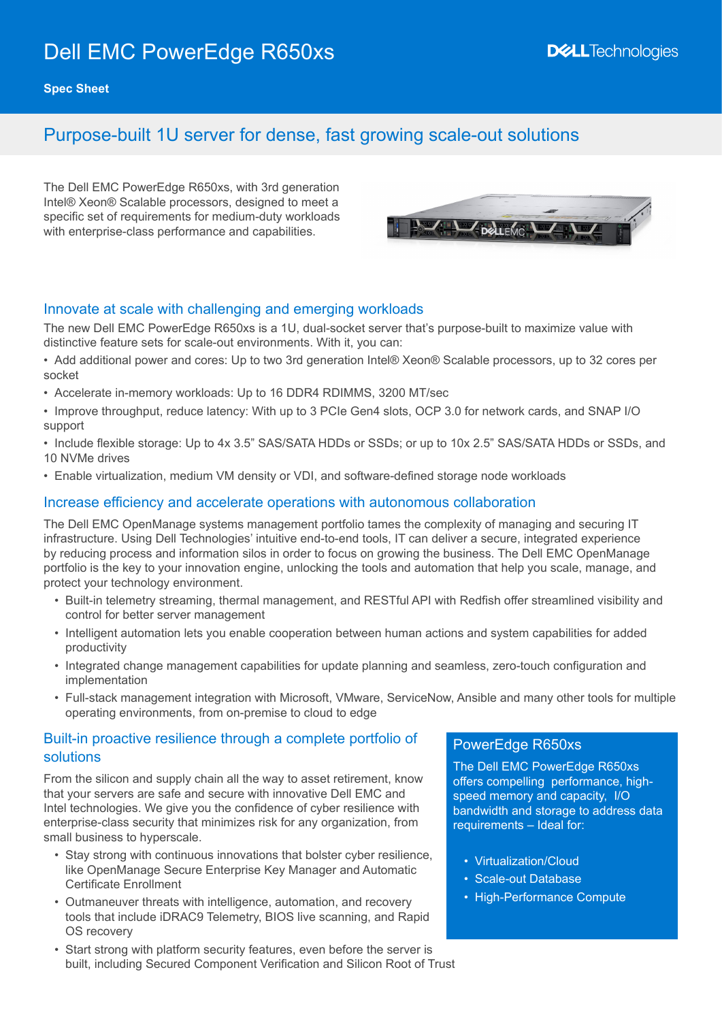# Dell EMC PowerEdge R650xs

**Spec Sheet**

## Purpose-built 1U server for dense, fast growing scale-out solutions

The Dell EMC PowerEdge R650xs, with 3rd generation Intel® Xeon® Scalable processors, designed to meet a specific set of requirements for medium-duty workloads with enterprise-class performance and capabilities.



#### Innovate at scale with challenging and emerging workloads

The new Dell EMC PowerEdge R650xs is a 1U, dual-socket server that's purpose-built to maximize value with distinctive feature sets for scale-out environments. With it, you can:

- Add additional power and cores: Up to two 3rd generation Intel® Xeon® Scalable processors, up to 32 cores per socket
- Accelerate in-memory workloads: Up to 16 DDR4 RDIMMS, 3200 MT/sec
- Improve throughput, reduce latency: With up to 3 PCIe Gen4 slots, OCP 3.0 for network cards, and SNAP I/O support
- Include flexible storage: Up to 4x 3.5" SAS/SATA HDDs or SSDs; or up to 10x 2.5" SAS/SATA HDDs or SSDs, and 10 NVMe drives
- Enable virtualization, medium VM density or VDI, and software-defined storage node workloads

#### Increase efficiency and accelerate operations with autonomous collaboration

The Dell EMC OpenManage systems management portfolio tames the complexity of managing and securing IT infrastructure. Using Dell Technologies' intuitive end-to-end tools, IT can deliver a secure, integrated experience by reducing process and information silos in order to focus on growing the business. The Dell EMC OpenManage portfolio is the key to your innovation engine, unlocking the tools and automation that help you scale, manage, and protect your technology environment.

- Built-in telemetry streaming, thermal management, and RESTful API with Redfish offer streamlined visibility and control for better server management
- Intelligent automation lets you enable cooperation between human actions and system capabilities for added productivity
- Integrated change management capabilities for update planning and seamless, zero-touch configuration and implementation
- Full-stack management integration with Microsoft, VMware, ServiceNow, Ansible and many other tools for multiple operating environments, from on-premise to cloud to edge

#### Built-in proactive resilience through a complete portfolio of solutions

From the silicon and supply chain all the way to asset retirement, know that your servers are safe and secure with innovative Dell EMC and Intel technologies. We give you the confidence of cyber resilience with enterprise-class security that minimizes risk for any organization, from small business to hyperscale.

- Stay strong with continuous innovations that bolster cyber resilience, like OpenManage Secure Enterprise Key Manager and Automatic Certificate Enrollment
- Outmaneuver threats with intelligence, automation, and recovery tools that include iDRAC9 Telemetry, BIOS live scanning, and Rapid OS recovery
- Start strong with platform security features, even before the server is built, including Secured Component Verification and Silicon Root of Trust

#### PowerEdge R650xs

The Dell EMC PowerEdge R650xs offers compelling performance, highspeed memory and capacity, I/O bandwidth and storage to address data requirements – Ideal for:

- Virtualization/Cloud
- Scale-out Database
- High-Performance Compute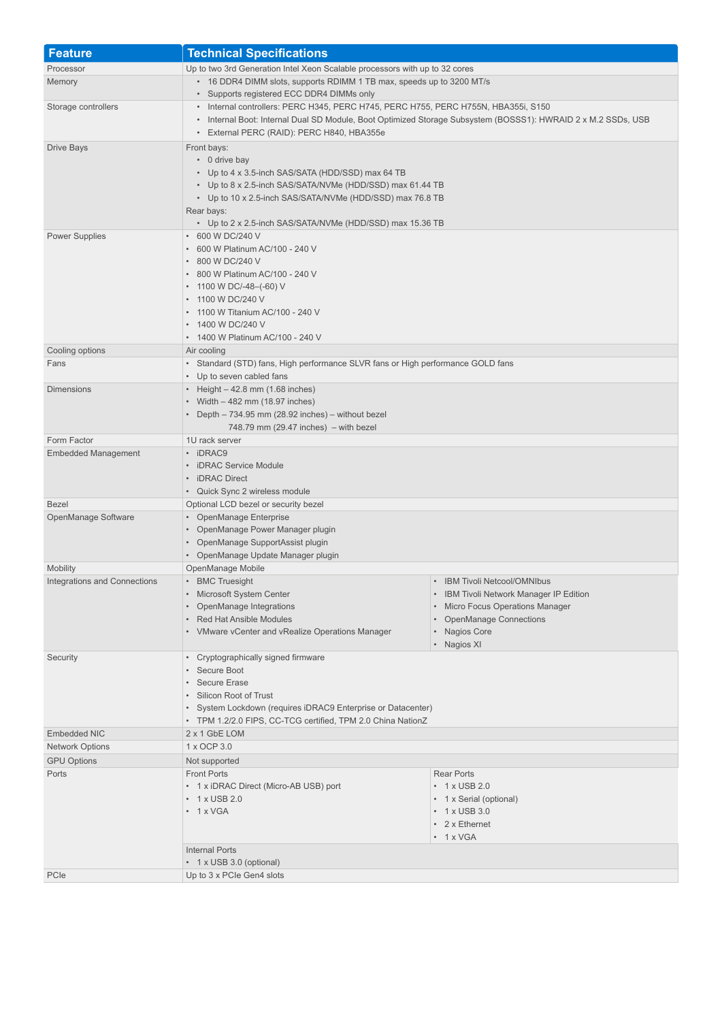| <b>Feature</b>               | <b>Technical Specifications</b>                                                                                                                                                                                                                                                              |                                                                                                                                                                              |
|------------------------------|----------------------------------------------------------------------------------------------------------------------------------------------------------------------------------------------------------------------------------------------------------------------------------------------|------------------------------------------------------------------------------------------------------------------------------------------------------------------------------|
| Processor                    | Up to two 3rd Generation Intel Xeon Scalable processors with up to 32 cores                                                                                                                                                                                                                  |                                                                                                                                                                              |
| Memory                       | • 16 DDR4 DIMM slots, supports RDIMM 1 TB max, speeds up to 3200 MT/s<br>• Supports registered ECC DDR4 DIMMs only                                                                                                                                                                           |                                                                                                                                                                              |
| Storage controllers          | • Internal controllers: PERC H345, PERC H745, PERC H755, PERC H755N, HBA355i, S150<br>• Internal Boot: Internal Dual SD Module, Boot Optimized Storage Subsystem (BOSSS1): HWRAID 2 x M.2 SSDs, USB<br>• External PERC (RAID): PERC H840, HBA355e                                            |                                                                                                                                                                              |
| Drive Bays                   | Front bays:<br>$\cdot$ 0 drive bay<br>• Up to 4 x 3.5-inch SAS/SATA (HDD/SSD) max 64 TB<br>• Up to 8 x 2.5-inch SAS/SATA/NVMe (HDD/SSD) max 61.44 TB<br>• Up to 10 x 2.5-inch SAS/SATA/NVMe (HDD/SSD) max 76.8 TB<br>Rear bays:<br>• Up to 2 x 2.5-inch SAS/SATA/NVMe (HDD/SSD) max 15.36 TB |                                                                                                                                                                              |
| <b>Power Supplies</b>        | • 600 W DC/240 V<br>• 600 W Platinum AC/100 - 240 V<br>• 800 W DC/240 V<br>• 800 W Platinum AC/100 - 240 V<br>• 1100 W DC/-48-(-60) V<br>• 1100 W DC/240 V<br>• 1100 W Titanium AC/100 - 240 V<br>• 1400 W DC/240 V<br>• 1400 W Platinum AC/100 - 240 V                                      |                                                                                                                                                                              |
| Cooling options              | Air cooling                                                                                                                                                                                                                                                                                  |                                                                                                                                                                              |
| Fans                         | • Standard (STD) fans, High performance SLVR fans or High performance GOLD fans<br>• Up to seven cabled fans                                                                                                                                                                                 |                                                                                                                                                                              |
| <b>Dimensions</b>            | • Height $-42.8$ mm (1.68 inches)<br>• Width - 482 mm (18.97 inches)<br>• Depth $-734.95$ mm (28.92 inches) $-$ without bezel<br>$748.79$ mm $(29.47$ inches) – with bezel                                                                                                                   |                                                                                                                                                                              |
| Form Factor                  | 1U rack server                                                                                                                                                                                                                                                                               |                                                                                                                                                                              |
| <b>Embedded Management</b>   | • iDRAC9<br>• iDRAC Service Module<br>• iDRAC Direct<br>• Quick Sync 2 wireless module                                                                                                                                                                                                       |                                                                                                                                                                              |
| Bezel                        | Optional LCD bezel or security bezel                                                                                                                                                                                                                                                         |                                                                                                                                                                              |
| OpenManage Software          | • OpenManage Enterprise<br>• OpenManage Power Manager plugin<br>• OpenManage SupportAssist plugin<br>• OpenManage Update Manager plugin                                                                                                                                                      |                                                                                                                                                                              |
| <b>Mobility</b>              | OpenManage Mobile                                                                                                                                                                                                                                                                            |                                                                                                                                                                              |
| Integrations and Connections | • BMC Truesight<br>• Microsoft System Center<br>• OpenManage Integrations<br>• Red Hat Ansible Modules<br>• VMware vCenter and vRealize Operations Manager                                                                                                                                   | <b>IBM Tivoli Netcool/OMNIbus</b><br>• IBM Tivoli Network Manager IP Edition<br>• Micro Focus Operations Manager<br>• OpenManage Connections<br>• Nagios Core<br>• Nagios XI |
| Security                     | • Cryptographically signed firmware<br>• Secure Boot<br>Secure Erase<br>• Silicon Root of Trust<br>• System Lockdown (requires iDRAC9 Enterprise or Datacenter)<br>• TPM 1.2/2.0 FIPS, CC-TCG certified, TPM 2.0 China NationZ                                                               |                                                                                                                                                                              |
| <b>Embedded NIC</b>          | 2 x 1 GbE LOM                                                                                                                                                                                                                                                                                |                                                                                                                                                                              |
| <b>Network Options</b>       | 1 x OCP 3.0                                                                                                                                                                                                                                                                                  |                                                                                                                                                                              |
| <b>GPU Options</b>           | Not supported                                                                                                                                                                                                                                                                                |                                                                                                                                                                              |
| Ports                        | <b>Front Ports</b><br>• 1 x iDRAC Direct (Micro-AB USB) port<br>$\cdot$ 1 x USB 2.0<br>$\cdot$ 1 x VGA                                                                                                                                                                                       | <b>Rear Ports</b><br>$\cdot$ 1 x USB 2.0<br>• 1 x Serial (optional)<br>$\cdot$ 1 x USB 3.0<br>• 2 x Ethernet<br>$\cdot$ 1 x VGA                                              |
|                              | <b>Internal Ports</b><br>• 1 x USB 3.0 (optional)                                                                                                                                                                                                                                            |                                                                                                                                                                              |
| PCIe                         | Up to 3 x PCIe Gen4 slots                                                                                                                                                                                                                                                                    |                                                                                                                                                                              |